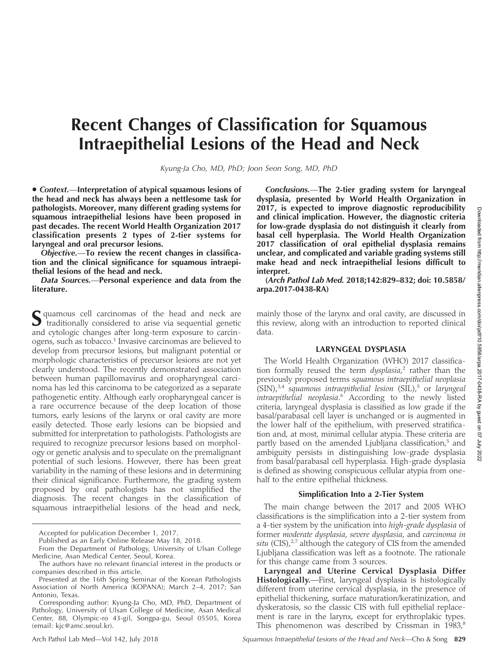# Recent Changes of Classification for Squamous Intraepithelial Lesions of the Head and Neck

Kyung-Ja Cho, MD, PhD; Joon Seon Song, MD, PhD

• Context.-Interpretation of atypical squamous lesions of the head and neck has always been a nettlesome task for pathologists. Moreover, many different grading systems for squamous intraepithelial lesions have been proposed in past decades. The recent World Health Organization 2017 classification presents 2 types of 2-tier systems for laryngeal and oral precursor lesions.

Objective.—To review the recent changes in classification and the clinical significance for squamous intraepithelial lesions of the head and neck.

Data Sources.—Personal experience and data from the literature.

S quamous cell carcinomas of the head and neck are traditionally considered to arise via sequential genetic and cytologic changes after long-term exposure to carcinogens, such as tobacco.<sup>1</sup> Invasive carcinomas are believed to develop from precursor lesions, but malignant potential or morphologic characteristics of precursor lesions are not yet clearly understood. The recently demonstrated association between human papillomavirus and oropharyngeal carcinoma has led this carcinoma to be categorized as a separate pathogenetic entity. Although early oropharyngeal cancer is a rare occurrence because of the deep location of those tumors, early lesions of the larynx or oral cavity are more easily detected. Those early lesions can be biopsied and submitted for interpretation to pathologists. Pathologists are required to recognize precursor lesions based on morphology or genetic analysis and to speculate on the premalignant potential of such lesions. However, there has been great variability in the naming of these lesions and in determining their clinical significance. Furthermore, the grading system proposed by oral pathologists has not simplified the diagnosis. The recent changes in the classification of squamous intraepithelial lesions of the head and neck,

Accepted for publication December 1, 2017.

Published as an Early Online Release May 18, 2018.

From the Department of Pathology, University of Ulsan College Medicine, Asan Medical Center, Seoul, Korea.

Conclusions.—The 2-tier grading system for laryngeal dysplasia, presented by World Health Organization in 2017, is expected to improve diagnostic reproducibility and clinical implication. However, the diagnostic criteria for low-grade dysplasia do not distinguish it clearly from basal cell hyperplasia. The World Health Organization 2017 classification of oral epithelial dysplasia remains unclear, and complicated and variable grading systems still make head and neck intraepithelial lesions difficult to interpret.

(Arch Pathol Lab Med. 2018;142:829–832; doi: 10.5858/ arpa.2017-0438-RA)

mainly those of the larynx and oral cavity, are discussed in this review, along with an introduction to reported clinical data.

#### LARYNGEAL DYSPLASIA

The World Health Organization (WHO) 2017 classification formally reused the term *dysplasia*,<sup>2</sup> rather than the previously proposed terms squamous intraepithelial neoplasia  $\text{\rm (SIN)}$ ,<sup>3,4</sup> squamous intraepithelial lesion  $\text{\rm (SIL)}$ ,<sup>5</sup> or laryngeal intraepithelial neoplasia.<sup>6</sup> According to the newly listed criteria, laryngeal dysplasia is classified as low grade if the basal/parabasal cell layer is unchanged or is augmented in the lower half of the epithelium, with preserved stratification and, at most, minimal cellular atypia. These criteria are partly based on the amended Ljubljana classification,<sup>5</sup> and ambiguity persists in distinguishing low-grade dysplasia from basal/parabasal cell hyperplasia. High-grade dysplasia is defined as showing conspicuous cellular atypia from onehalf to the entire epithelial thickness.

## Simplification Into a 2-Tier System

The main change between the 2017 and 2005 WHO classifications is the simplification into a 2-tier system from a 4-tier system by the unification into high-grade dysplasia of former moderate dysplasia, severe dysplasia, and carcinoma in situ (CIS), $2.7$  although the category of CIS from the amended Ljubljana classification was left as a footnote. The rationale for this change came from 3 sources.

Laryngeal and Uterine Cervical Dysplasia Differ Histologically.—First, laryngeal dysplasia is histologically different from uterine cervical dysplasia, in the presence of epithelial thickening, surface maturation/keratinization, and dyskeratosis, so the classic CIS with full epithelial replacement is rare in the larynx, except for erythroplakic types. This phenomenon was described by Crissman in  $1983$ ,<sup>8</sup>

The authors have no relevant financial interest in the products or companies described in this article.

Presented at the 16th Spring Seminar of the Korean Pathologists Association of North America (KOPANA); March 2–4, 2017; San Antonio, Texas.

Corresponding author: Kyung-Ja Cho, MD, PhD, Department of Pathology, University of Ulsan College of Medicine, Asan Medical Center, 88, Olympic-ro 43-gil, Songpa-gu, Seoul 05505, Korea (email: [kjc@amc.seoul.kr](mailto:kjc@amc.seoul.kr)).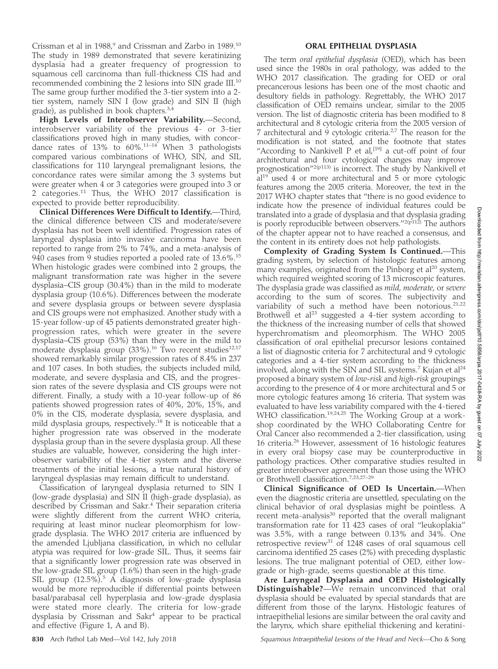Downloaded from http://meridian.allenpress.com/doi/pdf/10.5858/arpa.2017-0438-RA by guest on 07 July 2022Downloaded from http://meridian.allenpress.com/doi/pdf/10.5858/arpa.2017-0438-RA by guest on 07 July 2022

Crissman et al in 1988, $9$  and Crissman and Zarbo in 1989.<sup>10</sup> The study in 1989 demonstrated that severe keratinizing dysplasia had a greater frequency of progression to squamous cell carcinoma than full-thickness CIS had and recommended combining the 2 lesions into SIN grade III.<sup>10</sup> The same group further modified the 3-tier system into a 2 tier system, namely SIN I (low grade) and SIN II (high grade), as published in book chapters.3,4

High Levels of Interobserver Variability.—Second, interobserver variability of the previous 4- or 3-tier classifications proved high in many studies, with concordance rates of  $13\%$  to  $60\%$ .<sup>11-14</sup> When 3 pathologists compared various combinations of WHO, SIN, and SIL classifications for 110 laryngeal premalignant lesions, the concordance rates were similar among the 3 systems but were greater when 4 or 3 categories were grouped into 3 or 2 categories.<sup>11</sup> Thus, the WHO 2017 classification is expected to provide better reproducibility.

Clinical Differences Were Difficult to Identify.—Third, the clinical difference between CIS and moderate/severe dysplasia has not been well identified. Progression rates of laryngeal dysplasia into invasive carcinoma have been reported to range from 2% to 74%, and a meta-analysis of 940 cases from 9 studies reported a pooled rate of 13.6%.<sup>15</sup> When histologic grades were combined into 2 groups, the malignant transformation rate was higher in the severe dysplasia–CIS group (30.4%) than in the mild to moderate dysplasia group (10.6%). Differences between the moderate and severe dysplasia groups or between severe dysplasia and CIS groups were not emphasized. Another study with a 15-year follow-up of 45 patients demonstrated greater highprogression rates, which were greater in the severe dysplasia–CIS group (53%) than they were in the mild to moderate dysplasia group (33%).<sup>16</sup> Two recent studies<sup>12,17</sup> showed remarkably similar progression rates of 8.4% in 237 and 107 cases. In both studies, the subjects included mild, moderate, and severe dysplasia and CIS, and the progression rates of the severe dysplasia and CIS groups were not different. Finally, a study with a 10-year follow-up of 86 patients showed progression rates of 40%, 20%, 15%, and 0% in the CIS, moderate dysplasia, severe dysplasia, and mild dysplasia groups, respectively.<sup>18</sup> It is noticeable that a higher progression rate was observed in the moderate dysplasia group than in the severe dysplasia group. All these studies are valuable, however, considering the high interobserver variability of the 4-tier system and the diverse treatments of the initial lesions, a true natural history of laryngeal dysplasias may remain difficult to understand.

Classification of laryngeal dysplasia returned to SIN I (low-grade dysplasia) and SIN II (high-grade dysplasia), as described by Crissman and Sakr.<sup>4</sup> Their separation criteria were slightly different from the current WHO criteria, requiring at least minor nuclear pleomorphism for lowgrade dysplasia. The WHO 2017 criteria are influenced by the amended Ljubljana classification, in which no cellular atypia was required for low-grade SIL. Thus, it seems fair that a significantly lower progression rate was observed in the low-grade SIL group  $(1.6\%)$  than seen in the high-grade SIL group  $(12.5\%)$ .<sup>5</sup> A diagnosis of low-grade dysplasia would be more reproducible if differential points between basal/parabasal cell hyperplasia and low-grade dysplasia were stated more clearly. The criteria for low-grade dysplasia by Crissman and Sakr<sup>4</sup> appear to be practical and effective (Figure 1, A and B).

#### ORAL EPITHELIAL DYSPLASIA

The term oral epithelial dysplasia (OED), which has been used since the 1980s in oral pathology, was added to the WHO 2017 classification. The grading for OED or oral precancerous lesions has been one of the most chaotic and desultory fields in pathology. Regrettably, the WHO 2017 classification of OED remains unclear, similar to the 2005 version. The list of diagnostic criteria has been modified to 8 architectural and 8 cytologic criteria from the 2005 version of 7 architectural and  $\dot{9}$  cytologic criteria.<sup>2,7</sup> The reason for the modification is not stated, and the footnote that states "According to Nankivell P et al,<sup>[19]</sup> a cut-off point of four architectural and four cytological changes may improve prognostication"<sup>2(p113)</sup> is incorrect. The study by Nankivell et al<sup>19</sup> used 4 or more architectural and 5 or more cytologic features among the 2005 criteria. Moreover, the text in the 2017 WHO chapter states that ''there is no good evidence to indicate how the presence of individual features could be translated into a grade of dysplasia and that dysplasia grading is poorly reproducible between observers."<sup>2(p112)</sup> The authors of the chapter appear not to have reached a consensus, and the content in its entirety does not help pathologists.

Complexity of Grading System Is Continued.—This grading system, by selection of histologic features among many examples, originated from the Pinborg et  $al^{20}$  system, which required weighted scoring of 13 microscopic features. The dysplasia grade was classified as mild, moderate, or severe according to the sum of scores. The subjectivity and variability of such a method have been notorious.<sup>21,22</sup> Brothwell et  $al^{23}$  suggested a 4-tier system according to the thickness of the increasing number of cells that showed hyperchromatism and pleomorphism. The WHO 2005 classification of oral epithelial precursor lesions contained a list of diagnostic criteria for 7 architectural and 9 cytologic categories and a 4-tier system according to the thickness involved, along with the SIN and SIL systems.<sup>7</sup> Kujan et al<sup>24</sup> proposed a binary system of low-risk and high-risk groupings according to the presence of 4 or more architectural and 5 or more cytologic features among 16 criteria. That system was evaluated to have less variability compared with the 4-tiered WHO classification.<sup>19,24,25</sup> The Working Group at a workshop coordinated by the WHO Collaborating Centre for Oral Cancer also recommended a 2-tier classification, using 16 criteria.<sup>26</sup> However, assessment of 16 histologic features in every oral biopsy case may be counterproductive in pathology practices. Other comparative studies resulted in greater interobserver agreement than those using the WHO or Brothwell classification.7,23,27–29

Clinical Significance of OED Is Uncertain.—When even the diagnostic criteria are unsettled, speculating on the clinical behavior of oral dysplasias might be pointless. A recent meta-analysis<sup>30</sup> reported that the overall malignant transformation rate for 11 423 cases of oral ''leukoplakia'' was 3.5%, with a range between 0.13% and 34%. One retrospective review<sup>31</sup> of 1248 cases of oral squamous cell carcinoma identified 25 cases (2%) with preceding dysplastic lesions. The true malignant potential of OED, either lowgrade or high-grade, seems questionable at this time.

Are Laryngeal Dysplasia and OED Histologically Distinguishable?—We remain unconvinced that oral dysplasia should be evaluated by special standards that are different from those of the larynx. Histologic features of intraepithelial lesions are similar between the oral cavity and the larynx, which share epithelial thickening and keratini-

830 Arch Pathol Lab Med—Vol 142, July 2018 Squamous Intraepithelial Lesions of the Head and Neck—Cho & Song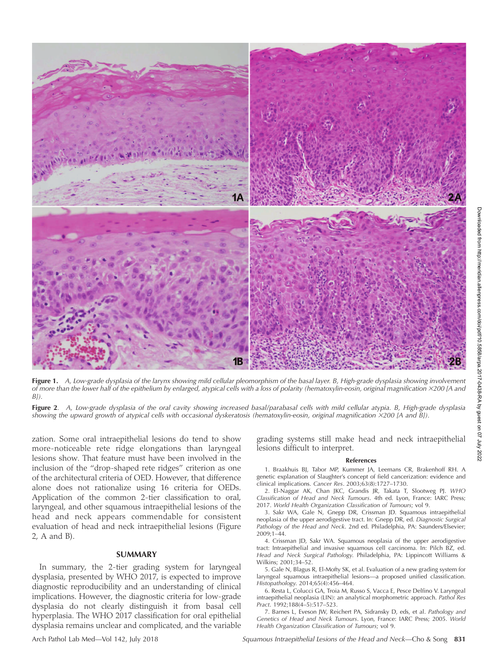

Figure 1. A, Low-grade dysplasia of the larynx showing mild cellular pleomorphism of the basal layer. B, High-grade dysplasia showing involvement of more than the lower half of the epithelium by enlarged, atypical cells with a loss of polarity (hematoxylin-eosin, original magnification <sup>3</sup>200 [A and  $B$ ]).

Figure 2. A, Low-grade dysplasia of the oral cavity showing increased basal/parabasal cells with mild cellular atypia. B, High-grade dysplasia showing the upward growth of atypical cells with occasional dyskeratosis (hematoxylin-eosin, original magnification ×200 [A and B]).

zation. Some oral intraepithelial lesions do tend to show more-noticeable rete ridge elongations than laryngeal lesions show. That feature must have been involved in the inclusion of the ''drop-shaped rete ridges'' criterion as one of the architectural criteria of OED. However, that difference alone does not rationalize using 16 criteria for OEDs. Application of the common 2-tier classification to oral, laryngeal, and other squamous intraepithelial lesions of the head and neck appears commendable for consistent evaluation of head and neck intraepithelial lesions (Figure 2, A and B).

### **SUMMARY**

In summary, the 2-tier grading system for laryngeal dysplasia, presented by WHO 2017, is expected to improve diagnostic reproducibility and an understanding of clinical implications. However, the diagnostic criteria for low-grade dysplasia do not clearly distinguish it from basal cell hyperplasia. The WHO 2017 classification for oral epithelial dysplasia remains unclear and complicated, and the variable

grading systems still make head and neck intraepithelial lesions difficult to interpret.

#### References

1. Braakhuis BJ, Tabor MP, Kummer JA, Leemans CR, Brakenhoff RH. A genetic explanation of Slaughter's concept of field cancerization: evidence and clinical implications. Cancer Res. 2003;63(8):1727–1730.

2. El-Naggar AK, Chan JKC, Grandis JR, Takata T, Slootweg PJ. WHO Classification of Head and Neck Tumours. 4th ed. Lyon, France: IARC Press; 2017. World Health Organization Classification of Tumours; vol 9.

3. Sakr WA, Gale N, Gnepp DR, Crissman JD. Squamous intraepithelial neoplasia of the upper aerodigestive tract. In: Gnepp DR, ed. Diagnostic Surgical Pathology of the Head and Neck. 2nd ed. Philadelphia, PA: Saunders/Elsevier; 2009;1–44.

4. Crissman JD, Sakr WA. Squamous neoplasia of the upper aerodigestive tract: Intraepithelial and invasive squamous cell carcinoma. In: Pilch BZ, ed. Head and Neck Surgical Pathology. Philadelphia, PA: Lippincott Williams & Wilkins; 2001;34–52.

5. Gale N, Blagus R, El-Mofty SK, et al. Evaluation of a new grading system for laryngeal squamous intraepithelial lesions—a proposed unified classification. Histopathology. 2014;65(4):456–464.

6. Resta L, Colucci GA, Troia M, Russo S, Vacca E, Pesce Delfino V. Laryngeal intraepithelial neoplasia (LIN): an analytical morphometric approach. Pathol Res Pract. 1992;188(4–5):517–523.

7. Barnes L, Eveson JW, Reichert PA, Sidransky D, eds, et al. Pathology and Genetics of Head and Neck Tumours. Lyon, France: IARC Press; 2005. World Health Organization Classification of Tumours; vol 9.